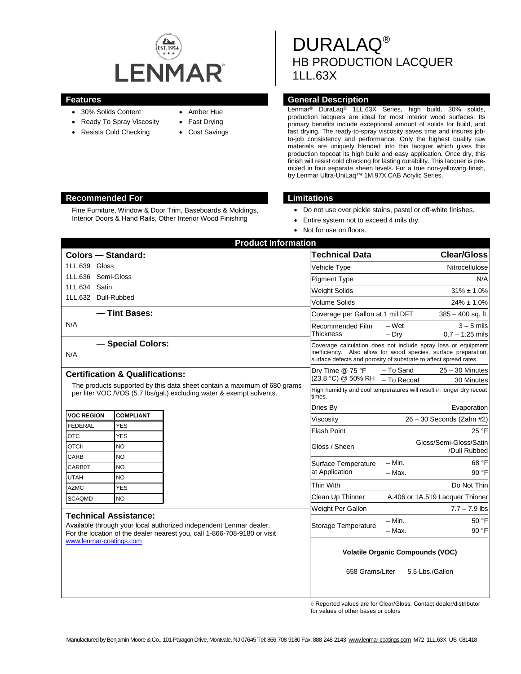

- 30% Solids Content
- Ready To Spray Viscosity
- Resists Cold Checking
- Amber Hue
- Fast Drying
- Cost Savings

DURALAQ® HB PRODUCTION LACQUER 1LL.63X

## **Features General Description**

Lenmar® DuraLaq® 1LL.63X Series, high build, 30% solids, production lacquers are ideal for most interior wood surfaces. Its primary benefits include exceptional amount of solids for build, and fast drying. The ready-to-spray viscosity saves time and insures jobto-job consistency and performance. Only the highest quality raw materials are uniquely blended into this lacquer which gives this production topcoat its high build and easy application. Once dry, this finish will resist cold checking for lasting durability. This lacquer is premixed in four separate sheen levels. For a true non-yellowing finish, try Lenmar Ultra-UniLaq™ 1M.97X CAB Acrylic Series.

## **Recommended For Limitations**

Fine Furniture, Window & Door Trim, Baseboards & Moldings, Interior Doors & Hand Rails, Other Interior Wood Finishing

- Do not use over pickle stains, pastel or off-white finishes.
- Entire system not to exceed 4 mils dry.
- Not for use on floors.

| <b>Product Information</b>                                                                                                                                                                                |                                |  |                                                                                                                                                                                                       |                                                                      |                                   |  |
|-----------------------------------------------------------------------------------------------------------------------------------------------------------------------------------------------------------|--------------------------------|--|-------------------------------------------------------------------------------------------------------------------------------------------------------------------------------------------------------|----------------------------------------------------------------------|-----------------------------------|--|
| <b>Colors - Standard:</b>                                                                                                                                                                                 |                                |  | <b>Technical Data</b>                                                                                                                                                                                 |                                                                      | <b>Clear/Gloss</b>                |  |
| 1LL.639 Gloss                                                                                                                                                                                             |                                |  | Vehicle Type                                                                                                                                                                                          |                                                                      | Nitrocellulose                    |  |
| 1LL.636 Semi-Gloss                                                                                                                                                                                        |                                |  | <b>Pigment Type</b>                                                                                                                                                                                   |                                                                      | N/A                               |  |
| 1LL.634 Satin                                                                                                                                                                                             |                                |  | <b>Weight Solids</b>                                                                                                                                                                                  |                                                                      | $31\% \pm 1.0\%$                  |  |
| 1LL.632 Dull-Rubbed                                                                                                                                                                                       |                                |  | <b>Volume Solids</b>                                                                                                                                                                                  |                                                                      | $24\% \pm 1.0\%$                  |  |
| - Tint Bases:                                                                                                                                                                                             |                                |  | Coverage per Gallon at 1 mil DFT                                                                                                                                                                      |                                                                      | $385 - 400$ sq. ft.               |  |
| N/A                                                                                                                                                                                                       |                                |  | Recommended Film<br>Thickness                                                                                                                                                                         | $-Wet$<br>$-$ Drv                                                    | $3 - 5$ mils<br>$0.7 - 1.25$ mils |  |
| - Special Colors:<br>N/A                                                                                                                                                                                  |                                |  | Coverage calculation does not include spray loss or equipment<br>inefficiency. Also allow for wood species, surface preparation,<br>surface defects and porosity of substrate to affect spread rates. |                                                                      |                                   |  |
| <b>Certification &amp; Qualifications:</b>                                                                                                                                                                |                                |  | Dry Time @ 75 °F<br>(23.8 °C) @ 50% RH                                                                                                                                                                | - To Sand                                                            | $25 - 30$ Minutes                 |  |
| The products supported by this data sheet contain a maximum of 680 grams                                                                                                                                  |                                |  |                                                                                                                                                                                                       | $-$ To Recoat                                                        | 30 Minutes                        |  |
| per liter VOC / VOS (5.7 lbs/gal.) excluding water & exempt solvents.                                                                                                                                     |                                |  | times.                                                                                                                                                                                                | High humidity and cool temperatures will result in longer dry recoat |                                   |  |
|                                                                                                                                                                                                           |                                |  | Dries By                                                                                                                                                                                              |                                                                      | Evaporation                       |  |
| <b>VOC REGION</b><br><b>FEDERAL</b>                                                                                                                                                                       | <b>COMPLIANT</b><br><b>YES</b> |  | Viscositv                                                                                                                                                                                             | $26 - 30$ Seconds (Zahn #2)                                          |                                   |  |
| <b>OTC</b>                                                                                                                                                                                                | <b>YES</b>                     |  | <b>Flash Point</b>                                                                                                                                                                                    |                                                                      | 25 °F                             |  |
| <b>OTCII</b>                                                                                                                                                                                              | <b>NO</b>                      |  | Gloss / Sheen                                                                                                                                                                                         | Gloss/Semi-Gloss/Satin<br>/Dull Rubbed                               |                                   |  |
| CARB                                                                                                                                                                                                      | NO.                            |  |                                                                                                                                                                                                       |                                                                      |                                   |  |
| CARB07                                                                                                                                                                                                    | <b>NO</b>                      |  | Surface Temperature<br>at Application                                                                                                                                                                 | $-$ Min.<br>$-$ Max.                                                 | 68 °F<br>90 °F                    |  |
| <b>UTAH</b>                                                                                                                                                                                               | <b>NO</b>                      |  | Thin With                                                                                                                                                                                             |                                                                      | Do Not Thin                       |  |
| <b>AZMC</b>                                                                                                                                                                                               | <b>YES</b>                     |  | Clean Up Thinner                                                                                                                                                                                      |                                                                      | A.406 or 1A.519 Lacquer Thinner   |  |
| <b>SCAQMD</b>                                                                                                                                                                                             | <b>NO</b>                      |  |                                                                                                                                                                                                       |                                                                      | $7.7 - 7.9$ lbs                   |  |
| <b>Technical Assistance:</b><br>Available through your local authorized independent Lenmar dealer.<br>For the location of the dealer nearest you, call 1-866-708-9180 or visit<br>www.lenmar-coatings.com |                                |  | Weight Per Gallon                                                                                                                                                                                     |                                                                      |                                   |  |
|                                                                                                                                                                                                           |                                |  | Storage Temperature                                                                                                                                                                                   | – Min.<br>$-$ Max.                                                   | 50 °F<br>90 °F                    |  |
|                                                                                                                                                                                                           |                                |  | <b>Volatile Organic Compounds (VOC)</b>                                                                                                                                                               |                                                                      |                                   |  |
|                                                                                                                                                                                                           |                                |  | 658 Grams/Liter                                                                                                                                                                                       |                                                                      | 5.5 Lbs./Gallon                   |  |

◊ Reported values are for Clear/Gloss. Contact dealer/distributor for values of other bases or colors